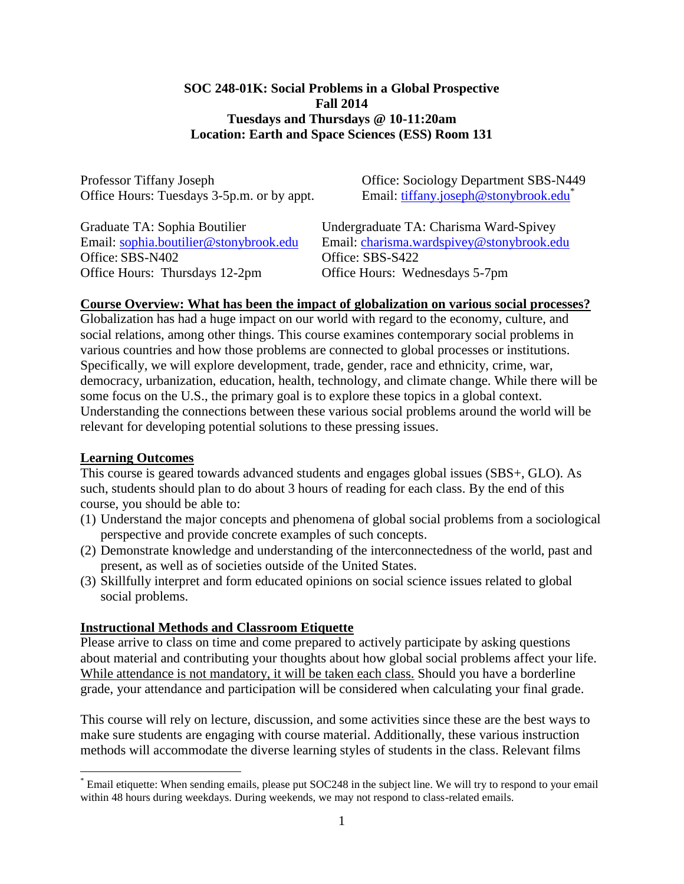### **SOC 248-01K: Social Problems in a Global Prospective Fall 2014 Tuesdays and Thursdays @ 10-11:20am Location: Earth and Space Sciences (ESS) Room 131**

Professor Tiffany Joseph Office: Sociology Department SBS-N449 Office Hours: Tuesdays 3-5p.m. or by appt. Email: [tiffany.joseph@stonybrook.edu](mailto:tiffany.joseph@stonybrook.edu*)<sup>\*</sup>

Office: SBS-N402 Office: SBS-S422 Office Hours: Thursdays 12-2pm Office Hours: Wednesdays 5-7pm

Graduate TA: Sophia Boutilier Undergraduate TA: Charisma Ward-Spivey Email: [sophia.boutilier@stonybrook.edu](mailto:Sophia.boutilier@stonybrook.edu) Email: [charisma.wardspivey@stonybrook.edu](mailto:charisma.wardspivey@stonybrook.edu)

#### **Course Overview: What has been the impact of globalization on various social processes?**

Globalization has had a huge impact on our world with regard to the economy, culture, and social relations, among other things. This course examines contemporary social problems in various countries and how those problems are connected to global processes or institutions. Specifically, we will explore development, trade, gender, race and ethnicity, crime, war, democracy, urbanization, education, health, technology, and climate change. While there will be some focus on the U.S., the primary goal is to explore these topics in a global context. Understanding the connections between these various social problems around the world will be relevant for developing potential solutions to these pressing issues.

#### **Learning Outcomes**

 $\overline{a}$ 

This course is geared towards advanced students and engages global issues (SBS+, GLO). As such, students should plan to do about 3 hours of reading for each class. By the end of this course, you should be able to:

- (1) Understand the major concepts and phenomena of global social problems from a sociological perspective and provide concrete examples of such concepts.
- (2) Demonstrate knowledge and understanding of the interconnectedness of the world, past and present, as well as of societies outside of the United States.
- (3) Skillfully interpret and form educated opinions on social science issues related to global social problems.

#### **Instructional Methods and Classroom Etiquette**

Please arrive to class on time and come prepared to actively participate by asking questions about material and contributing your thoughts about how global social problems affect your life. While attendance is not mandatory, it will be taken each class. Should you have a borderline grade, your attendance and participation will be considered when calculating your final grade.

This course will rely on lecture, discussion, and some activities since these are the best ways to make sure students are engaging with course material. Additionally, these various instruction methods will accommodate the diverse learning styles of students in the class. Relevant films

<sup>\*</sup> Email etiquette: When sending emails, please put SOC248 in the subject line. We will try to respond to your email within 48 hours during weekdays. During weekends, we may not respond to class-related emails.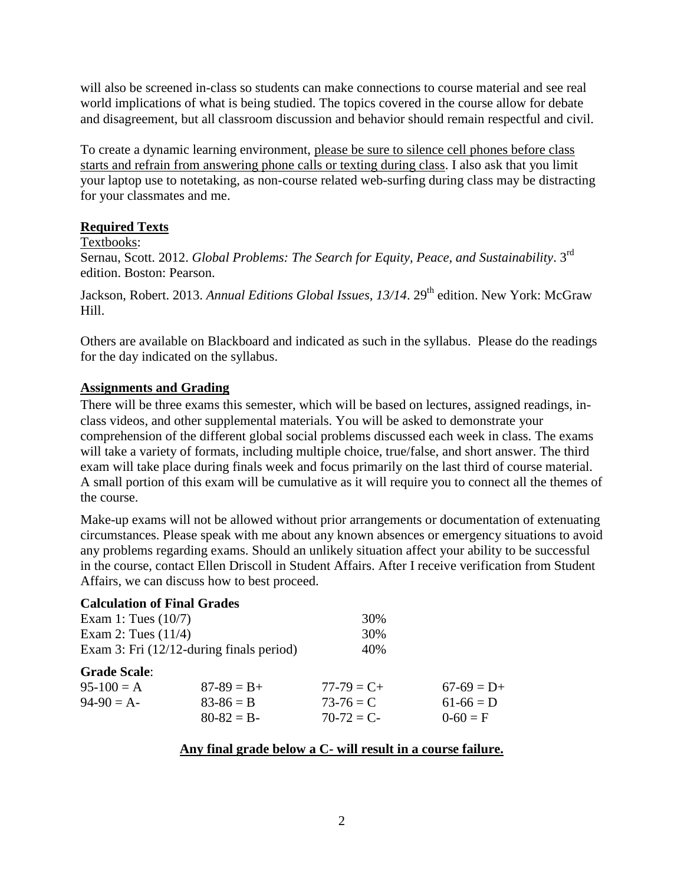will also be screened in-class so students can make connections to course material and see real world implications of what is being studied. The topics covered in the course allow for debate and disagreement, but all classroom discussion and behavior should remain respectful and civil.

To create a dynamic learning environment, please be sure to silence cell phones before class starts and refrain from answering phone calls or texting during class. I also ask that you limit your laptop use to notetaking, as non-course related web-surfing during class may be distracting for your classmates and me.

# **Required Texts**

### Textbooks:

Sernau, Scott. 2012. *Global Problems: The Search for Equity, Peace, and Sustainability*. 3rd edition. Boston: Pearson.

Jackson, Robert. 2013. *Annual Editions Global Issues, 13/14*. 29<sup>th</sup> edition. New York: McGraw Hill.

Others are available on Blackboard and indicated as such in the syllabus. Please do the readings for the day indicated on the syllabus.

# **Assignments and Grading**

There will be three exams this semester, which will be based on lectures, assigned readings, inclass videos, and other supplemental materials. You will be asked to demonstrate your comprehension of the different global social problems discussed each week in class. The exams will take a variety of formats, including multiple choice, true/false, and short answer. The third exam will take place during finals week and focus primarily on the last third of course material. A small portion of this exam will be cumulative as it will require you to connect all the themes of the course.

Make-up exams will not be allowed without prior arrangements or documentation of extenuating circumstances. Please speak with me about any known absences or emergency situations to avoid any problems regarding exams. Should an unlikely situation affect your ability to be successful in the course, contact Ellen Driscoll in Student Affairs. After I receive verification from Student Affairs, we can discuss how to best proceed.

| <b>Calculation of Final Grades</b> |                                             |                 |              |
|------------------------------------|---------------------------------------------|-----------------|--------------|
| Exam 1: Tues $(10/7)$              |                                             | 30%             |              |
| Exam 2: Tues $(11/4)$              |                                             | 30%             |              |
|                                    | Exam 3: Fri $(12/12$ -during finals period) | 40%             |              |
| <b>Grade Scale:</b>                |                                             |                 |              |
| $95-100 = A$                       | $87-89 = B +$                               | $77 - 79 = C +$ | $67-69 = D+$ |
| $94-90 = A$                        | $83 - 86 = B$                               | $73 - 76 = C$   | $61-66 = D$  |
|                                    | $80-82 = B-$                                | $70-72 = C$     | $0-60 = F$   |

#### **Any final grade below a C- will result in a course failure.**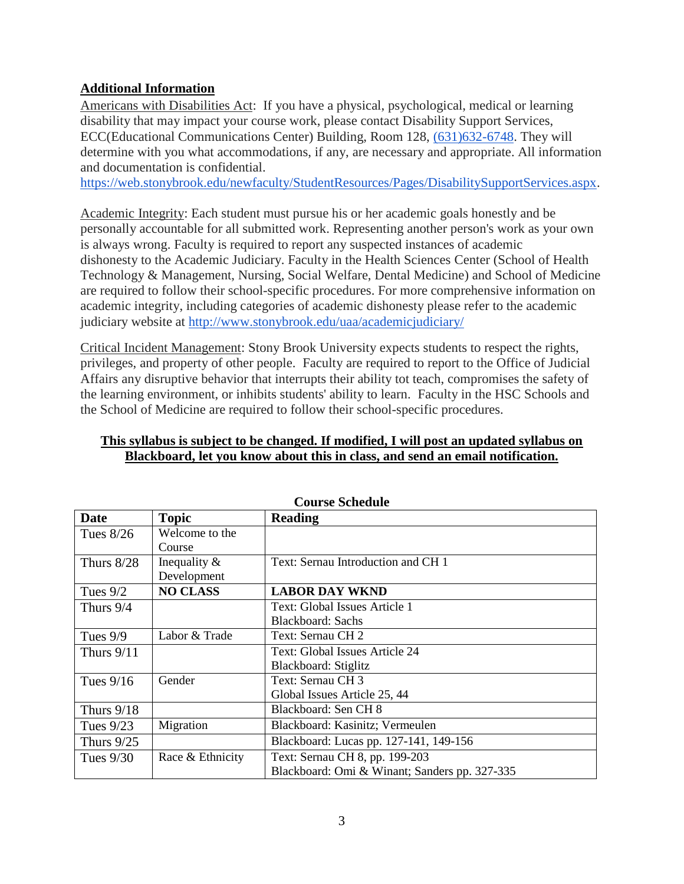# **Additional Information**

Americans with Disabilities Act: If you have a physical, psychological, medical or learning disability that may impact your course work, please contact Disability Support Services, ECC(Educational Communications Center) Building, Room 128, [\(631\)632-6748.](tel:%28631%29632-6748) They will determine with you what accommodations, if any, are necessary and appropriate. All information and documentation is confidential.

[https://web.stonybrook.edu/newfaculty/StudentResources/Pages/DisabilitySupportServices.aspx.](https://web.stonybrook.edu/newfaculty/StudentResources/Pages/DisabilitySupportServices.aspx)

Academic Integrity: Each student must pursue his or her academic goals honestly and be personally accountable for all submitted work. Representing another person's work as your own is always wrong. Faculty is required to report any suspected instances of academic dishonesty to the Academic Judiciary. Faculty in the Health Sciences Center (School of Health Technology & Management, Nursing, Social Welfare, Dental Medicine) and School of Medicine are required to follow their school-specific procedures. For more comprehensive information on academic integrity, including categories of academic dishonesty please refer to the academic judiciary website at <http://www.stonybrook.edu/uaa/academicjudiciary/>

Critical Incident Management: Stony Brook University expects students to respect the rights, privileges, and property of other people. Faculty are required to report to the Office of Judicial Affairs any disruptive behavior that interrupts their ability tot teach, compromises the safety of the learning environment, or inhibits students' ability to learn. Faculty in the HSC Schools and the School of Medicine are required to follow their school-specific procedures.

# **This syllabus is subject to be changed. If modified, I will post an updated syllabus on Blackboard, let you know about this in class, and send an email notification.**

| <b>Course Schedule</b> |                  |                                               |  |
|------------------------|------------------|-----------------------------------------------|--|
| Date                   | <b>Topic</b>     | <b>Reading</b>                                |  |
| Tues $8/26$            | Welcome to the   |                                               |  |
|                        | Course           |                                               |  |
| Thurs $8/28$           | Inequality $\&$  | Text: Sernau Introduction and CH 1            |  |
|                        | Development      |                                               |  |
| Tues $9/2$             | <b>NO CLASS</b>  | <b>LABOR DAY WKND</b>                         |  |
| Thurs $9/4$            |                  | Text: Global Issues Article 1                 |  |
|                        |                  | <b>Blackboard: Sachs</b>                      |  |
| Tues $9/9$             | Labor & Trade    | Text: Sernau CH 2                             |  |
| Thurs $9/11$           |                  | Text: Global Issues Article 24                |  |
|                        |                  | Blackboard: Stiglitz                          |  |
| Tues $9/16$            | Gender           | Text: Sernau CH 3                             |  |
|                        |                  | Global Issues Article 25, 44                  |  |
| Thurs $9/18$           |                  | Blackboard: Sen CH 8                          |  |
| Tues $9/23$            | Migration        | Blackboard: Kasinitz; Vermeulen               |  |
| Thurs $9/25$           |                  | Blackboard: Lucas pp. 127-141, 149-156        |  |
| Tues $9/30$            | Race & Ethnicity | Text: Sernau CH 8, pp. 199-203                |  |
|                        |                  | Blackboard: Omi & Winant; Sanders pp. 327-335 |  |